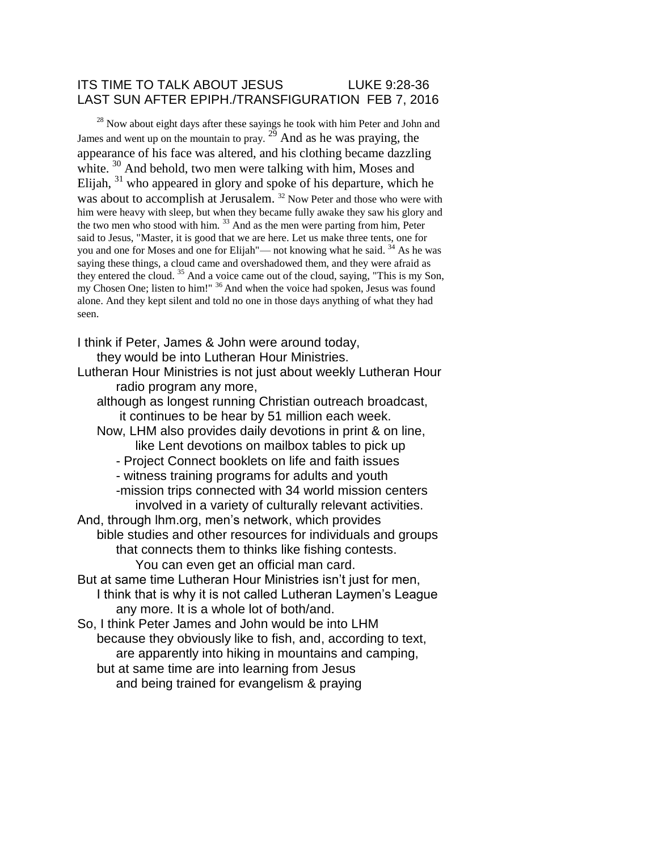## ITS TIME TO TALK ABOUT JESUS LUKE 9:28-36 LAST SUN AFTER EPIPH./TRANSFIGURATION FEB 7, 2016

 $28$  Now about eight days after these sayings he took with him Peter and John and James and went up on the mountain to pray.  $2^{\frac{3}{2}}$  And as he was praying, the appearance of his face was altered, and his clothing became dazzling white. <sup>30</sup> And behold, two men were talking with him, Moses and Elijah,  $31$  who appeared in glory and spoke of his departure, which he was about to accomplish at Jerusalem.<sup>32</sup> Now Peter and those who were with him were heavy with sleep, but when they became fully awake they saw his glory and the two men who stood with him.  $33$  And as the men were parting from him, Peter said to Jesus, "Master, it is good that we are here. Let us make three tents, one for you and one for Moses and one for Elijah"— not knowing what he said.  $34$  As he was saying these things, a cloud came and overshadowed them, and they were afraid as they entered the cloud. <sup>35</sup> And a voice came out of the cloud, saying, "This is my Son, my Chosen One; listen to him!" <sup>36</sup> And when the voice had spoken, Jesus was found alone. And they kept silent and told no one in those days anything of what they had seen.

I think if Peter, James & John were around today,

they would be into Lutheran Hour Ministries.

Lutheran Hour Ministries is not just about weekly Lutheran Hour radio program any more,

although as longest running Christian outreach broadcast, it continues to be hear by 51 million each week.

- Now, LHM also provides daily devotions in print & on line, like Lent devotions on mailbox tables to pick up
	- Project Connect booklets on life and faith issues
	- witness training programs for adults and youth

-mission trips connected with 34 world mission centers involved in a variety of culturally relevant activities. And, through lhm.org, men's network, which provides

bible studies and other resources for individuals and groups that connects them to thinks like fishing contests.

You can even get an official man card.

But at same time Lutheran Hour Ministries isn't just for men, I think that is why it is not called Lutheran Laymen's League any more. It is a whole lot of both/and.

So, I think Peter James and John would be into LHM because they obviously like to fish, and, according to text, are apparently into hiking in mountains and camping, but at same time are into learning from Jesus and being trained for evangelism & praying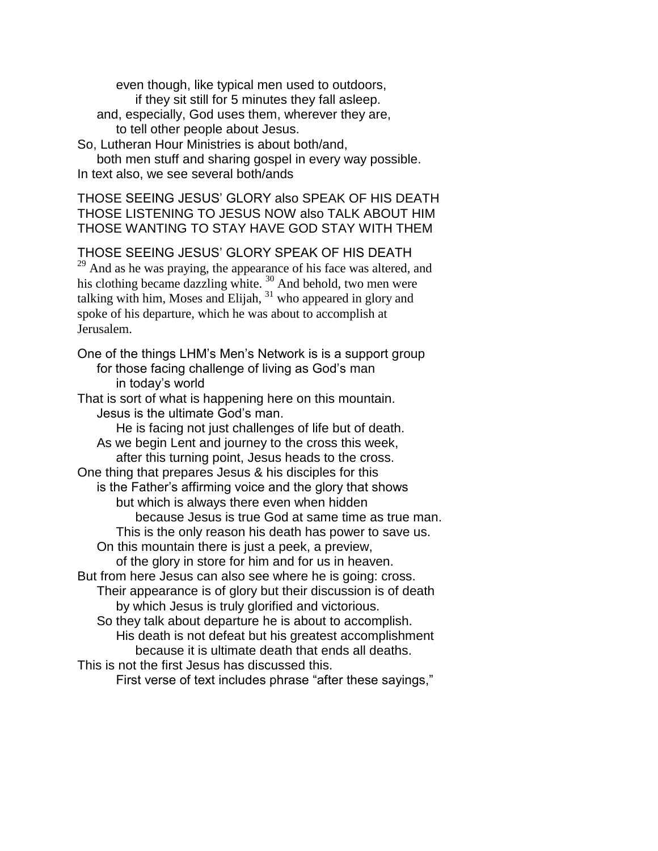even though, like typical men used to outdoors, if they sit still for 5 minutes they fall asleep. and, especially, God uses them, wherever they are, to tell other people about Jesus.

So, Lutheran Hour Ministries is about both/and,

both men stuff and sharing gospel in every way possible. In text also, we see several both/ands

THOSE SEEING JESUS' GLORY also SPEAK OF HIS DEATH THOSE LISTENING TO JESUS NOW also TALK ABOUT HIM THOSE WANTING TO STAY HAVE GOD STAY WITH THEM

THOSE SEEING JESUS' GLORY SPEAK OF HIS DEATH <sup>29</sup> And as he was praying, the appearance of his face was altered, and his clothing became dazzling white. <sup>30</sup> And behold, two men were talking with him, Moses and Elijah,  $31$  who appeared in glory and spoke of his departure, which he was about to accomplish at Jerusalem.

One of the things LHM's Men's Network is is a support group for those facing challenge of living as God's man in today's world

That is sort of what is happening here on this mountain. Jesus is the ultimate God's man.

He is facing not just challenges of life but of death. As we begin Lent and journey to the cross this week, after this turning point, Jesus heads to the cross. One thing that prepares Jesus & his disciples for this is the Father's affirming voice and the glory that shows but which is always there even when hidden because Jesus is true God at same time as true man. This is the only reason his death has power to save us. On this mountain there is just a peek, a preview, of the glory in store for him and for us in heaven. But from here Jesus can also see where he is going: cross. Their appearance is of glory but their discussion is of death by which Jesus is truly glorified and victorious. So they talk about departure he is about to accomplish. His death is not defeat but his greatest accomplishment

because it is ultimate death that ends all deaths. This is not the first Jesus has discussed this.

First verse of text includes phrase "after these sayings,"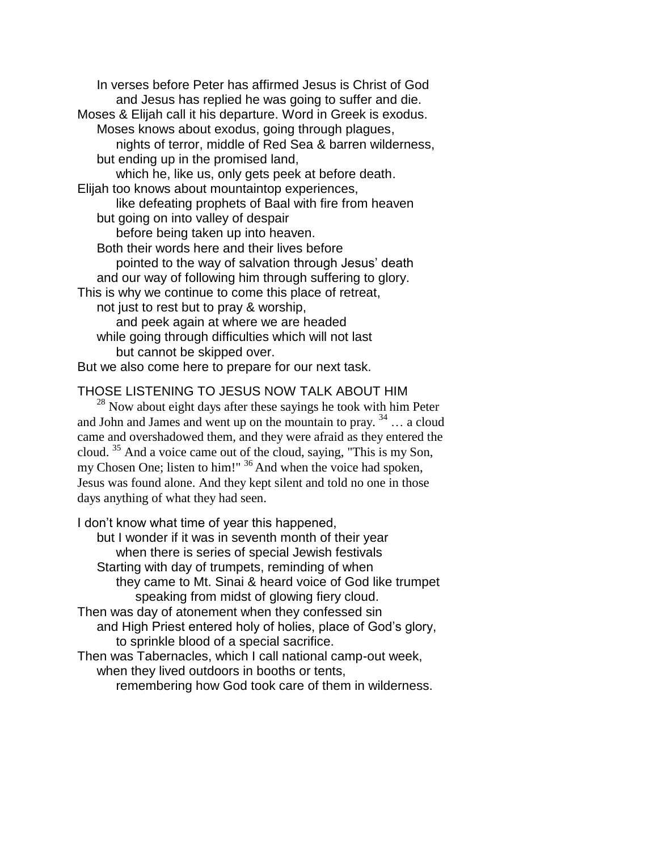In verses before Peter has affirmed Jesus is Christ of God and Jesus has replied he was going to suffer and die. Moses & Elijah call it his departure. Word in Greek is exodus. Moses knows about exodus, going through plagues, nights of terror, middle of Red Sea & barren wilderness, but ending up in the promised land, which he, like us, only gets peek at before death. Elijah too knows about mountaintop experiences, like defeating prophets of Baal with fire from heaven but going on into valley of despair before being taken up into heaven. Both their words here and their lives before pointed to the way of salvation through Jesus' death and our way of following him through suffering to glory. This is why we continue to come this place of retreat, not just to rest but to pray & worship, and peek again at where we are headed while going through difficulties which will not last but cannot be skipped over. But we also come here to prepare for our next task.

## THOSE LISTENING TO JESUS NOW TALK ABOUT HIM

 $^{28}$  Now about eight days after these sayings he took with him Peter and John and James and went up on the mountain to pray.  $34$  ... a cloud came and overshadowed them, and they were afraid as they entered the cloud. <sup>35</sup> And a voice came out of the cloud, saying, "This is my Son, my Chosen One; listen to him!"  $36$  And when the voice had spoken, Jesus was found alone. And they kept silent and told no one in those days anything of what they had seen.

I don't know what time of year this happened,

but I wonder if it was in seventh month of their year when there is series of special Jewish festivals Starting with day of trumpets, reminding of when they came to Mt. Sinai & heard voice of God like trumpet speaking from midst of glowing fiery cloud. Then was day of atonement when they confessed sin and High Priest entered holy of holies, place of God's glory, to sprinkle blood of a special sacrifice. Then was Tabernacles, which I call national camp-out week,

when they lived outdoors in booths or tents, remembering how God took care of them in wilderness.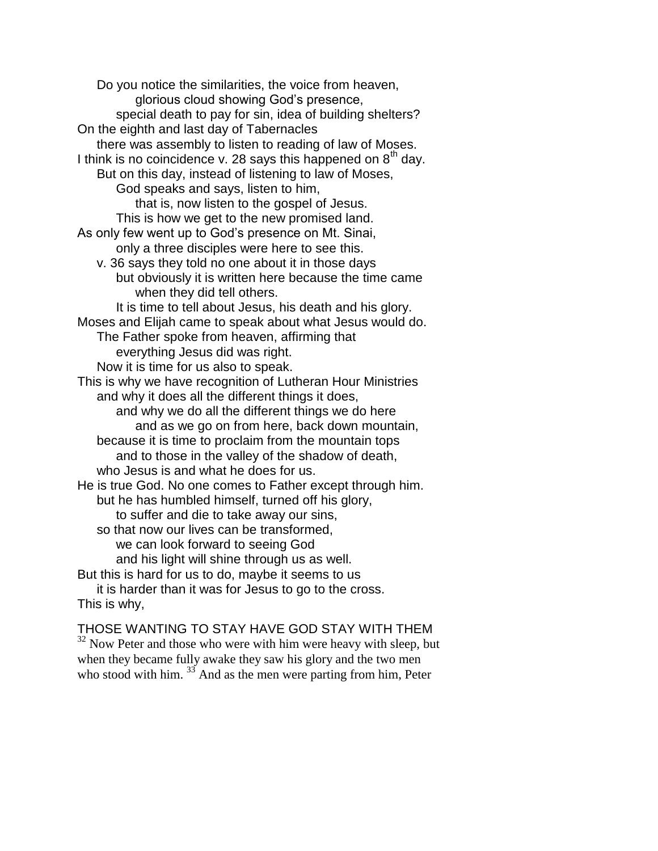Do you notice the similarities, the voice from heaven, glorious cloud showing God's presence, special death to pay for sin, idea of building shelters? On the eighth and last day of Tabernacles there was assembly to listen to reading of law of Moses. I think is no coincidence v. 28 says this happened on  $8<sup>th</sup>$  day. But on this day, instead of listening to law of Moses, God speaks and says, listen to him, that is, now listen to the gospel of Jesus. This is how we get to the new promised land. As only few went up to God's presence on Mt. Sinai, only a three disciples were here to see this. v. 36 says they told no one about it in those days but obviously it is written here because the time came when they did tell others. It is time to tell about Jesus, his death and his glory. Moses and Elijah came to speak about what Jesus would do. The Father spoke from heaven, affirming that everything Jesus did was right. Now it is time for us also to speak. This is why we have recognition of Lutheran Hour Ministries and why it does all the different things it does, and why we do all the different things we do here and as we go on from here, back down mountain, because it is time to proclaim from the mountain tops and to those in the valley of the shadow of death, who Jesus is and what he does for us. He is true God. No one comes to Father except through him. but he has humbled himself, turned off his glory, to suffer and die to take away our sins, so that now our lives can be transformed, we can look forward to seeing God and his light will shine through us as well. But this is hard for us to do, maybe it seems to us it is harder than it was for Jesus to go to the cross. This is why,

THOSE WANTING TO STAY HAVE GOD STAY WITH THEM  $32$  Now Peter and those who were with him were heavy with sleep, but when they became fully awake they saw his glory and the two men who stood with him. <sup>33</sup> And as the men were parting from him, Peter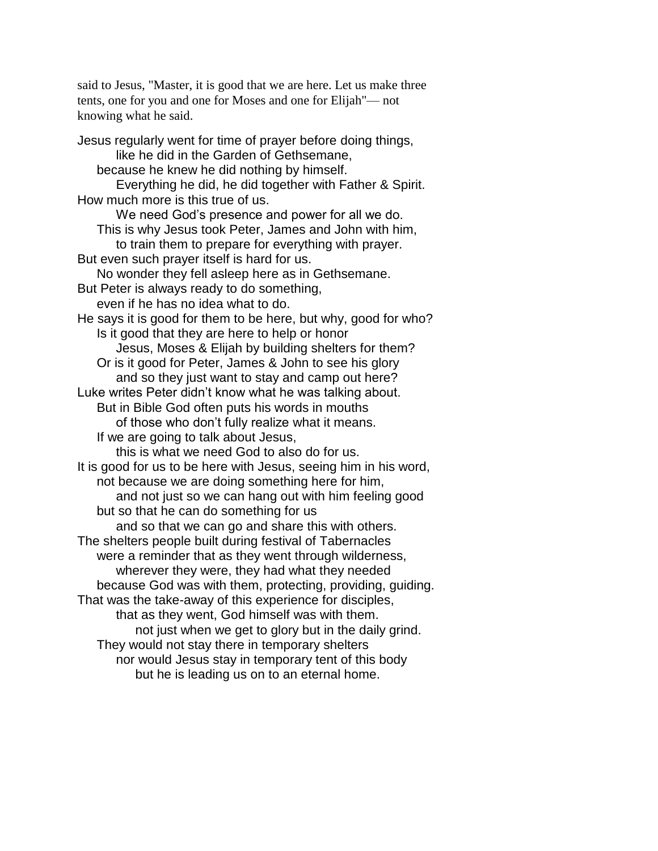said to Jesus, "Master, it is good that we are here. Let us make three tents, one for you and one for Moses and one for Elijah"— not knowing what he said.

Jesus regularly went for time of prayer before doing things, like he did in the Garden of Gethsemane, because he knew he did nothing by himself. Everything he did, he did together with Father & Spirit. How much more is this true of us. We need God's presence and power for all we do. This is why Jesus took Peter, James and John with him, to train them to prepare for everything with prayer. But even such prayer itself is hard for us. No wonder they fell asleep here as in Gethsemane. But Peter is always ready to do something, even if he has no idea what to do. He says it is good for them to be here, but why, good for who? Is it good that they are here to help or honor Jesus, Moses & Elijah by building shelters for them? Or is it good for Peter, James & John to see his glory and so they just want to stay and camp out here? Luke writes Peter didn't know what he was talking about. But in Bible God often puts his words in mouths of those who don't fully realize what it means. If we are going to talk about Jesus, this is what we need God to also do for us. It is good for us to be here with Jesus, seeing him in his word, not because we are doing something here for him, and not just so we can hang out with him feeling good but so that he can do something for us and so that we can go and share this with others. The shelters people built during festival of Tabernacles were a reminder that as they went through wilderness, wherever they were, they had what they needed because God was with them, protecting, providing, guiding. That was the take-away of this experience for disciples, that as they went, God himself was with them. not just when we get to glory but in the daily grind. They would not stay there in temporary shelters nor would Jesus stay in temporary tent of this body but he is leading us on to an eternal home.